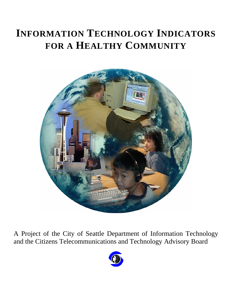# **INFORMATION TECHNOLOGY INDICATORS FOR A HEALTHY COMMUNITY**



A Project of the City of Seattle Department of Information Technology and the Citizens Telecommunications and Technology Advisory Board

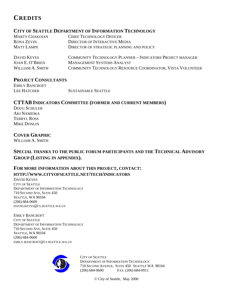# **CREDITS**

### **CITY OF SEATTLE DEPARTMENT OF INFORMATION TECHNOLOGY**

| <b>MARTY CHAKOIAN</b> | CHIEF TECHNOLOGY OFFICER                                         |
|-----------------------|------------------------------------------------------------------|
| RONA ZEVIN            | DIRECTOR OF INTERACTIVE MEDIA                                    |
| <b>MATT LAMPE</b>     | DIRECTOR OF STRATEGIC PLANNING AND POLICY                        |
| DAVID KEYES           | <b>COMMUNITY TECHNOLOGY PLANNER - INDICATORS PROJECT MANAGER</b> |

| DAVID <b>NEYES</b>     | COMMUNITY TECHNOLOGY PLANNER – INDICATORS PROJECT MANAGER         |
|------------------------|-------------------------------------------------------------------|
| <b>JOAN E. O'BRIEN</b> | <b>MANAGEMENT SYSTEMS ANALYST</b>                                 |
| WILLIAM A. SMITH       | <b>COMMUNITY TECHNOLOGY RESOURCE COORDINATOR, VISTA VOLUNTEER</b> |

### **PROJECT CONSULTANTS**

EMILY BANCROFT LEE HATCHER SUSTAINABLE SEATTLE

### **CTTAB INDICATORS COMMITTEE (FORMER AND CURRENT MEMBERS)**

DOUG SCHULER AKI NAMIOKA TERRYL ROSS MIKE DONLIN

### **COVER GRAPHIC**

WILLIAM A. SMITH

### **SPECIAL THANKS TO THE PUBLIC FORUM PARTICIPANTS AND THE TECHNICAL ADVISORY GROUP (LISTING IN APPENDIX).**

### **FOR MORE INFORMATION ABOUT THIS PROJECT, CONTACT: HTTP://WWW.CITYOFSEATTLE.NET/TECH/INDICATORS**

DAVID KEYES CITY OF SEATTLE DEPARTMENT OF INFORMATION TECHNOLOGY 710 SECOND AVE, SUITE 450 SEATTLE, WA 98104 (206) 684-0600 DAVID.KEYES@CI.SEATTLE.WA.US

EMILY BANCROFT CITY OF SEATTLE DEPARTMENT OF INFORMATION TECHNOLOGY 710 SECOND AVE, SUITE 450 SEATTLE, WA 98104 (206) 684-0600 EMILY.BANCROFT@CI.SEATTLE.WA.US



CITY OF SEATTLE DEPARTMENT OF INFORMATION TECHNOLOGY 710 SECOND AVENUE, SUITE 450 SEATTLE WA 98104 (206) 684-0600 FAX (206) 684-0911

© City of Seattle, May 2000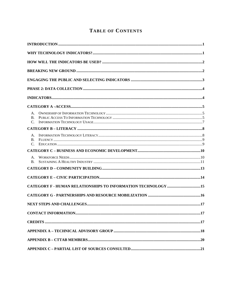## TABLE OF CONTENTS

| Α.<br><b>B.</b><br>$C_{\cdot}$ |                                                               |  |
|--------------------------------|---------------------------------------------------------------|--|
|                                |                                                               |  |
| A.<br><b>B.</b><br>$C_{\cdot}$ |                                                               |  |
|                                |                                                               |  |
| A.<br><b>B.</b>                |                                                               |  |
|                                |                                                               |  |
|                                |                                                               |  |
|                                | CATEGORY F - HUMAN RELATIONSHIPS TO INFORMATION TECHNOLOGY 15 |  |
|                                |                                                               |  |
|                                |                                                               |  |
|                                |                                                               |  |
|                                |                                                               |  |
|                                |                                                               |  |
|                                |                                                               |  |
|                                |                                                               |  |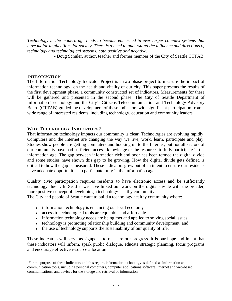*Technology in the modern age tends to become enmeshed in ever larger complex systems that have major implications for society. There is a need to understand the influence and directions of technology and technological systems, both positive and negative.*

- Doug Schuler, author, teacher and former member of the City of Seattle CTTAB.

### **INTRODUCTION**

The Information Technology Indicator Project is a two phase project to measure the impact of information technology<sup>1</sup> on the health and vitality of our city. This paper presents the results of the first development phase, a community constructed set of indicators. Measurements for these will be gathered and presented in the second phase. The City of Seattle Department of Information Technology and the City's Citizens Telecommunication and Technology Advisory Board (CTTAB) guided the development of these indicators with significant participation from a wide range of interested residents, including technology, education and community leaders.

### **WHY TECHNOLOGY INDICATORS?**

That information technology impacts our community is clear. Technologies are evolving rapidly. Computers and the Internet are changing the way we live, work, learn, participate and play. Studies show people are getting computers and hooking up to the Internet, but not all sectors of our community have had sufficient access, knowledge or the resources to fully participate in the information age. The gap between information rich and poor has been termed the digital divide and some studies have shown this gap to be growing. How the digital divide gets defined is critical to how the gap is measured. These indicators grew out of an intent to ensure our residents have adequate opportunities to participate fully in the information age.

Quality civic participation requires residents to have electronic access and be sufficiently technology fluent. In Seattle, we have linked our work on the digital divide with the broader, more positive concept of developing a technology healthy community.

The City and people of Seattle want to build a technology healthy community where:

- $\bullet$  information technology is enhancing our local economy
- access to technological tools are equitable and affordable
- information technology needs are being met and applied to solving social issues,
- ♦ technology is promoting relationship building and community development, and
- $\bullet$  the use of technology supports the sustainability of our quality of life.

These indicators will serve as signposts to measure our progress. It is our hope and intent that these indicators will inform, spark public dialogue, educate strategic planning, focus programs and encourage effective resource allocation.

l <sup>1</sup>For the purpose of these indicators and this report, information technology is defined as information and communication tools, including personal computers, computer applications software, Internet and web-based communications, and devices for the storage and retrieval of information.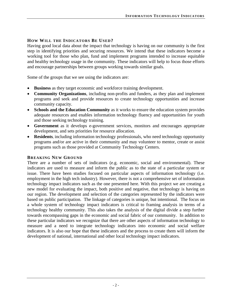### **HOW WILL THE INDICATORS BE USED?**

Having good local data about the impact that technology is having on our community is the first step in identifying priorities and securing resources. We intend that these indicators become a working tool for those who plan, fund and implement programs intended to increase equitable and healthy technology usage in the community. These indicators will help to focus those efforts and encourage partnerships between groups working towards similar goals.

Some of the groups that we see using the indicators are:

- **Business** as they target economic and workforce training development.
- **Community Organizations**, including non-profits and funders, as they plan and implement programs and seek and provide resources to create technology opportunities and increase community capacity.
- **Schools and the Education Community** as it works to ensure the education system provides adequate resources and enables information technology fluency and opportunities for youth and those seeking technology training.
- **Government** as it develops e-government services, monitors and encourages appropriate development, and sets priorities for resource allocation.
- **Residents**, including information technology professionals, who need technology opportunity programs and/or are active in their community and may volunteer to mentor, create or assist programs such as those provided at Community Technology Centers.

### **BREAKING NEW GROUND**

There are a number of sets of indicators (e.g. economic, social and environmental). These indicators are used to measure and inform the public as to the state of a particular system or issue. There have been studies focused on particular aspects of information technology (i.e. employment in the high tech industry). However, there is not a comprehensive set of information technology impact indicators such as the one presented here. With this project we are creating a new model for evaluating the impact, both positive and negative, that technology is having on our region. The development and selection of the categories represented by the indicators were based on public participation. The linkage of categories is unique, but intentional. The focus on a whole system of technology impact indicators is critical to framing analysis in terms of a technology healthy community. This also takes the analysis of the digital divide a step further towards encompassing gaps in the economic and social fabric of our community. In addition to these particular indicators we recognize that there are other aspects of information technology to measure and a need to integrate technology indicators into economic and social welfare indicators. It is also our hope that these indicators and the process to create them will inform the development of national, international and other local technology impact indicators.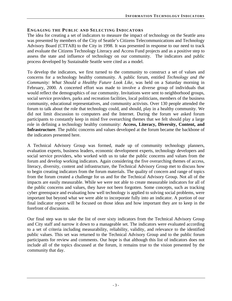### **ENGAGING THE PUBLIC AND SELECTING INDICATORS**

The idea for creating a set of indicators to measure the impact of technology on the Seattle area was presented by members of the City of Seattle's Citizens Telecommunications and Technology Advisory Board (CTTAB) to the City in 1998. It was presented in response to our need to track and evaluate the Citizens Technology Literacy and Access Fund projects and as a positive step to assess the state and influence of technology on our community. The indicators and public process developed by Sustainable Seattle were cited as a model.

To develop the indicators, we first turned to the community to construct a set of values and concerns for a technology healthy community. A public forum, entitled *Technology and the Community: What Should a Healthy Future Look Like*, was held on a Saturday morning in February, 2000. A concerted effort was made to involve a diverse group of individuals that would reflect the demographics of our community. Invitations were sent to neighborhood groups, social service providers, parks and recreation facilities, local politicians, members of the business community, educational representatives, and community activists. Over 130 people attended the forum to talk about the role that technology could, and should, play in a healthy community. We did not limit discussion to computers and the Internet. During the forum we asked forum participants to constantly keep in mind five overarching themes that we felt should play a large role in defining a technology healthy community: **Access, Literacy, Diversity, Content, and Infrastructure**. The public concerns and values developed at the forum became the backbone of the indicators presented here.

A Technical Advisory Group was formed, made up of community technology planners, evaluation experts, business leaders, economic development experts, technology developers and social service providers, who worked with us to take the public concerns and values from the forum and develop working indicators. Again considering the five overarching themes of access, literacy, diversity, content and infrastructure, the Technical Advisory Group met to discuss how to begin creating indicators from the forum materials. The quality of concern and range of topics from the forum created a challenge for us and for the Technical Advisory Group. Not all of the impacts are easily measurable. While we were not able to create measurable indicators for all of the public concerns and values, they have not been forgotten. Some concepts, such as tracking cyber greenspace and evaluating how well technology is applied to solving social problems, were important but beyond what we were able to incorporate fully into an indicator. A portion of our final indicator report will be focused on those ideas and how important they are to keep in the forefront of discussion.

Our final step was to take the list of over sixty indicators from the Technical Advisory Group and City staff and narrow it down to a manageable set. The indicators were evaluated according to a set of criteria including measurability, reliability, validity, and relevance to the identified public values. This set was returned to the Technical Advisory Group and to the public forum participants for review and comments. Our hope is that although this list of indicators does not include all of the topics discussed at the forum, it remains true to the vision presented by the community that day.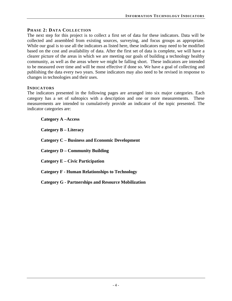### **PHASE 2: DATA COLLECTION**

The next step for this project is to collect a first set of data for these indicators. Data will be collected and assembled from existing sources, surveying, and focus groups as appropriate. While our goal is to use all the indicators as listed here, these indicators may need to be modified based on the cost and availability of data. After the first set of data is complete, we will have a clearer picture of the areas in which we are meeting our goals of building a technology healthy community, as well as the areas where we might be falling short. These indicators are intended to be measured over time and will be most effective if done so. We have a goal of collecting and publishing the data every two years. Some indicators may also need to be revised in response to changes in technologies and their uses.

### **INDICATORS**

The indicators presented in the following pages are arranged into six major categories. Each category has a set of subtopics with a description and one or more measurements. These measurements are intended to cumulatively provide an indicator of the topic presented. The indicator categories are:

**Category A –Access** 

**Category B – Literacy** 

**Category C – Business and Economic Development** 

**Category D – Community Building** 

**Category E – Civic Participation** 

**Category F - Human Relationships to Technology** 

**Category G - Partnerships and Resource Mobilization**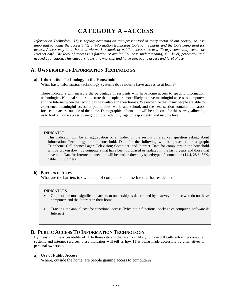# **CATEGORY A –ACCESS**

*Information Technology (IT) is rapidly becoming an ever-present tool in every sector of our society, so it is important to gauge the accessibility of information technology tools to the public and the tools being used for access. Access may be at home or via work, school, or public access sites at a library, community center or Internet café. The level of access is a function of availability, cost, understanding, skill level, perception and needed application. This category looks at ownership and home use, public access and level of use.* 

### **A. OWNERSHIP OF INFORMATION TECHNOLOGY**

### **a) Information Technology in the Household**

What basic information technology systems do residents have access to at home?

These indicators will measure the percentage of residents who have home access to specific information technologies. National studies illustrate that people are more likely to have meaningful access to computers and the Internet when the technology is available in their homes. We recognize that many people are able to experience meaningful access at public sites, work, and school, and the next section contains indicators focused on access outside of the home. Demographic information will be collected for this survey, allowing us to look at home access by neighborhood, ethnicity, age of respondents, and income level.

#### INDICATOR

This indicator will be an aggregation or an index of the results of a survey question asking about Information Technology in the household. Data for the following will be presented on a graph: Telephone; Cell phone; Pager; Television; Computer; and Internet. Data for computers in the household will be broken down by computers that have been purchased or updated in the last 3 years and those that have not. Data for Internet connection will be broken down by speed/type of connection (14.4, 28.8, 56K, cable, DSL, other).

### **b) Barriers to Access**

What are the barriers to ownership of computers and the Internet for residents?

#### INDICATORS

- Graph of the most significant barriers to ownership as determined by a survey of those who do not have computers and the Internet in their home.
- Tracking the annual cost for functional access (Price out a functional package of computer, software & Internet)

### **B. PUBLIC ACCESS TO INFORMATION TECHNOLOGY**

By measuring the accessibility of IT to those citizens that are most likely to have difficulty affording computer systems and internet services, these indicators will tell us how IT is being made accessible by alternatives to personal ownership.

#### **a) Use of Public Access**

Where, outside the home, are people gaining access to computers?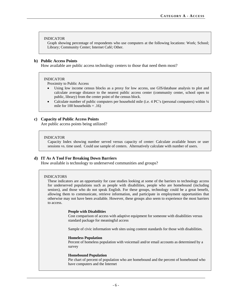#### INDICATOR

Graph showing percentage of respondents who use computers at the following locations: Work; School; Library; Community Center; Internet Café; Other.

#### **b) Public Access Points**

How available are public access technology centers to those that need them most?

#### INDICATOR

Proximity to Public Access

- Using low income census blocks as a proxy for low access, use GIS/database analysis to plot and calculate average distance to the nearest public access center (community center, school open to public, library) from the center point of the census block.
- Calculate number of public computers per household mile (i.e. 4 PC's (personal computers) within ¼ mile for  $100$  households =  $.16$ )

### **c) Capacity of Public Access Points**

Are public access points being utilized?

#### INDICATOR

Capacity Index showing number served versus capacity of center: Calculate available hours or user sessions vs. time used. Could use sample of centers. Alternatively calculate with number of users.

#### **d) IT As A Tool For Breaking Down Barriers**

How available is technology to underserved communities and groups?

#### INDICATORS

These indicators are an opportunity for case studies looking at some of the barriers to technology access for underserved populations such as people with disabilities, people who are homebound (including seniors), and those who do not speak English. For these groups, technology could be a great benefit, allowing them to communicate, retrieve information, and participate in employment opportunities that otherwise may not have been available. However, these groups also seem to experience the most barriers to access.

#### **People with Disabilities**

Cost comparison of access with adaptive equipment for someone with disabilities versus standard package for meaningful access

Sample of civic information web sites using content standards for those with disabilities.

#### **Homeless Population**

Percent of homeless population with voicemail and/or email accounts as determined by a survey

#### **Homebound Population**

Pie chart of percent of population who are homebound and the percent of homebound who have computers and the Internet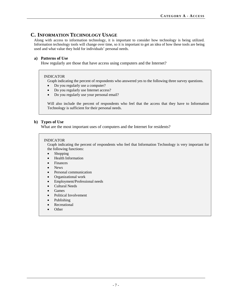### **C. INFORMATION TECHNOLOGY USAGE**

Along with access to information technology, it is important to consider how technology is being utilized. Information technology tools will change over time, so it is important to get an idea of how these tools are being used and what value they hold for individuals' personal needs.

### **a) Patterns of Use**

How regularly are those that have access using computers and the Internet?

### INDICATOR

Graph indicating the percent of respondents who answered yes to the following three survey questions.

- Do you regularly use a computer?
- Do you regularly use Internet access?
- Do you regularly use your personal email?

Will also include the percent of respondents who feel that the access that they have to Information Technology is sufficient for their personal needs.

### **b) Types of Use**

What are the most important uses of computers and the Internet for residents?

#### INDICATOR

Graph indicating the percent of respondents who feel that Information Technology is very important for the following functions:

- Shopping
- Health Information
- Finances
- News
- Personal communication
- Organizational work
- Employment/Professional needs
- Cultural Needs
- Games
- Political Involvement
- Publishing
- Recreational
- Other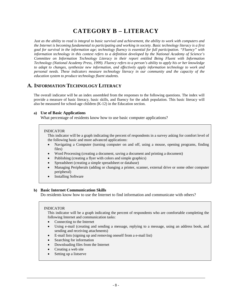# **CATEGORY B – LITERACY**

*Just as the ability to read is integral to basic survival and achievement, the ability to work with computers and the Internet is becoming fundamental to participating and working in society. Basic technology literacy is a first goal for survival in the information age; technology fluency is essential for full participation. "Fluency" with information technology in this context refers to a definition developed by the National Academy of Science's Committee on Information Technology Literacy in their report entitled Being Fluent with Information Technology (National Academy Press, 1999). Fluency refers to a person's ability to apply his or her knowledge to adapt to changes, synthesize new information, and effectively apply information technology to work and personal needs. These indicators measure technology literacy in our community and the capacity of the education system to produce technology fluent students.* 

### **A. INFORMATION TECHNOLOGY LITERACY**

The overall indicator will be an index assembled from the responses to the following questions. The index will provide a measure of basic literacy, basic skills, and fluency for the adult population. This basic literacy will also be measured for school-age children (K-12) in the Education section.

### **a) Use of Basic Applications**

What percentage of residents know how to use basic computer applications?

#### INDICATOR

This indicator will be a graph indicating the percent of respondents in a survey asking for comfort level of the following basic and more advanced applications:

- Navigating a Computer (turning computer on and off, using a mouse, opening programs, finding files)
- Word Processing (creating a document, saving a document and printing a document)
- Publishing (creating a flyer with colors and simple graphics)
- Spreadsheet (creating a simple spreadsheet or database)
- Managing Peripherals (adding or changing a printer, scanner, external drive or some other computer peripheral)
- Installing Software

### **b) Basic Internet Communication Skills**

Do residents know how to use the Internet to find information and communicate with others?

#### INDICATOR

This indicator will be a graph indicating the percent of respondents who are comfortable completing the following Internet and communication tasks:

- Connecting to the Internet
- Using e-mail (creating and sending a message, replying to a message, using an address book, and sending and receiving attachments)
- E-mail lists (signing up and removing oneself from a e-mail list)
- Searching for information
- Downloading files from the Internet
- Creating a web site
- Setting up a listserve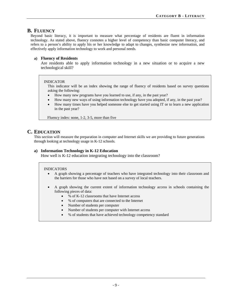### **B. FLUENCY**

Beyond basic literacy, it is important to measure what percentage of residents are fluent in information technology. As stated above, fluency connotes a higher level of competency than basic computer literacy, and refers to a person's ability to apply his or her knowledge to adapt to changes, synthesize new information, and effectively apply information technology to work and personal needs.

### **a) Fluency of Residents**

Are residents able to apply information technology in a new situation or to acquire a new technological skill?

### INDICATOR

This indicator will be an index showing the range of fluency of residents based on survey questions asking the following:

- How many new programs have you learned to use, if any, in the past year?
- How many new ways of using information technology have you adopted, if any, in the past year?
- How many times have you helped someone else to get started using IT or to learn a new application in the past year?

Fluency index: none, 1-2, 3-5, more than five

### **C. EDUCATION**

This section will measure the preparation in computer and Internet skills we are providing to future generations through looking at technology usage in K-12 schools.

### **a) Information Technology in K-12 Education**

How well is K-12 education integrating technology into the classroom?

- A graph showing a percentage of teachers who have integrated technology into their classroom and the barriers for those who have not based on a survey of local teachers.
- A graph showing the current extent of information technology access in schools containing the following pieces of data:
	- % of K-12 classrooms that have Internet access
	- % of computers that are connected to the Internet
	- Number of students per computer
	- Number of students per computer with Internet access
	- % of students that have achieved technology competency standard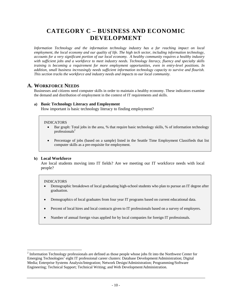# **CATEGORY C – BUSINESS AND ECONOMIC DEVELOPMENT**

*Information Technology and the information technology industry has a far reaching impact on local employment, the local economy and our quality of life. The high tech sector, including information technology, accounts for a very significant portion of our local economy. A healthy community requires a healthy industry with sufficient jobs and a workforce to meet industry needs. Technology literacy, fluency and specialty skills training is becoming a requirement for more employment opportunities, even in entry-level positions. In addition, small business increasingly needs sufficient information technology capacity to survive and flourish. This section tracks the workforce and industry needs and impacts to our local community.* 

### **A. WORKFORCE NEEDS**

Businesses and citizens need computer skills in order to maintain a healthy economy. These indicators examine the demand and distribution of employment in the context of IT requirements and skills.

### **a) Basic Technology Literacy and Employment**

How important is basic technology literacy to finding employment?

### INDICATORS

- Bar graph: Total jobs in the area, % that require basic technology skills, % of information technology professionals $2$
- Percentage of jobs (based on a sample) listed in the Seattle Time Employment Classifieds that list computer skills as a pre-requisite for employment.

### **b) Local Workforce**

Are local students moving into IT fields? Are we meeting our IT workforce needs with local people?

#### INDICATORS

 $\overline{a}$ 

- Demographic breakdown of local graduating high-school students who plan to pursue an IT degree after graduation.
- Demographics of local graduates from four year IT programs based on current educational data.
- Percent of local hires and local contracts given to IT professionals based on a survey of employers.
- Number of annual foreign visas applied for by local companies for foreign IT professionals.

 $2^{2}$  Information Technology professionals are defined as those people whose jobs fit into the Northwest Center for Emerging Technologies' eight IT professional career clusters: Database Development/Administration; Digital Media; Enterprise Systems Analysis/Integration; Network Design/Administration; Programming/Software Engineering; Technical Support; Technical Writing; and Web Development/Administration.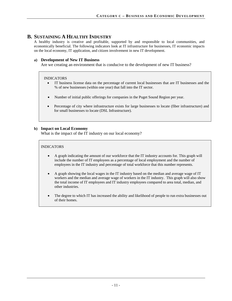### **B. SUSTAINING A HEALTHY INDUSTRY**

A healthy industry is creative and profitable, supported by and responsible to local communities, and economically beneficial. The following indicators look at IT infrastructure for businesses, IT economic impacts on the local economy, IT application, and citizen involvement in new IT development.

### **a) Development of New IT Business**

Are we creating an environment that is conducive to the development of new IT business?

### INDICATORS

- IT business license data on the percentage of current local businesses that are IT businesses and the % of new businesses (within one year) that fall into the IT sector.
- Number of initial public offerings for companies in the Puget Sound Region per year.
- Percentage of city where infrastructure exists for large businesses to locate (fiber infrastructure) and for small businesses to locate (DSL Infrastructure).

### **b) Impact on Local Economy**

What is the impact of the IT industry on our local economy?

- A graph indicating the amount of our workforce that the IT industry accounts for. This graph will include the number of IT employees as a percentage of local employment and the number of employees in the IT industry and percentage of total workforce that this number represents.
- A graph showing the local wages in the IT industry based on the median and average wage of IT workers and the median and average wage of workers in the IT industry. This graph will also show the total income of IT employees and IT industry employees compared to area total, median, and other industries.
- The degree to which IT has increased the ability and likelihood of people to run extra businesses out of their homes.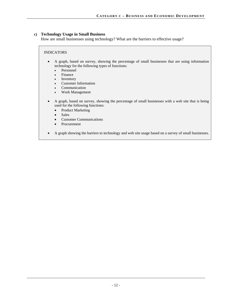### **c) Technology Usage in Small Business**

How are small businesses using technology? What are the barriers to effective usage?

- A graph, based on survey, showing the percentage of small businesses that are using information technology for the following types of functions:
	- Personnel
	- Finance
	- Inventory
	- Customer Information
	- **Communication**
	- Work Management
- A graph, based on survey, showing the percentage of small businesses with a web site that is being used for the following functions:
	- Product Marketing
	- Sales
	- Customer Communications
	- **Procurement**
- A graph showing the barriers to technology and web site usage based on a survey of small businesses.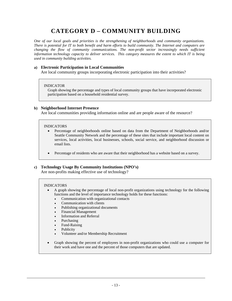# **CATEGORY D – COMMUNITY BUILDING**

*One of our local goals and priorities is the strengthening of neighborhoods and community organizations. There is potential for IT to both benefit and harm efforts to build community. The Internet and computers are changing the flow of community communications. The non-profit sector increasingly needs sufficient information technology capacity to deliver services. This category measures the extent to which IT is being used in community building activities.* 

### **a) Electronic Participation in Local Communities**

Are local community groups incorporating electronic participation into their activities?

#### INDICATOR

Graph showing the percentage and types of local community groups that have incorporated electronic participation based on a household residential survey.

#### **b) Neighborhood Internet Presence**

Are local communities providing information online and are people aware of the resource?

#### INDICATORS

- Percentage of neighborhoods online based on data from the Department of Neighborhoods and/or Seattle Community Network and the percentage of these sites that include important local content on services, local activities, local businesses, schools, social service, and neighborhood discussion or email lists.
- Percentage of residents who are aware that their neighborhood has a website based on a survey.

### **c) Technology Usage By Community Institutions (NPO's)**

Are non-profits making effective use of technology?

- A graph showing the percentage of local non-profit organizations using technology for the following functions and the level of importance technology holds for these functions:
	- Communication with organizational contacts
	- Communication with clients
	- Publishing organizational documents
	- Financial Management
	- Information and Referral
	- Purchasing
	- Fund-Raising
	- **Publicity**
	- Volunteer and/or Membership Recruitment
- Graph showing the percent of employees in non-profit organizations who could use a computer for their work and have one and the percent of those computers that are updated.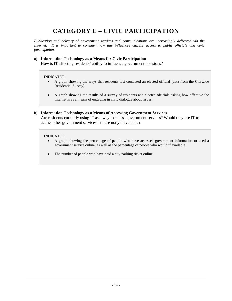# **CATEGORY E – CIVIC PARTICIPATION**

*Publication and delivery of government services and communications are increasingly delivered via the Internet. It is important to consider how this influences citizens access to public officials and civic participation.* 

### **a) Information Technology as a Means for Civic Participation**

How is IT affecting residents' ability to influence government decisions?

#### INDICATOR

- A graph showing the ways that residents last contacted an elected official (data from the Citywide Residential Survey)
- A graph showing the results of a survey of residents and elected officials asking how effective the Internet is as a means of engaging in civic dialogue about issues.

### **b) Information Technology as a Means of Accessing Government Services**

Are residents currently using IT as a way to access government services? Would they use IT to access other government services that are not yet available?

- A graph showing the percentage of people who have accessed government information or used a government service online, as well as the percentage of people who would if available.
- The number of people who have paid a city parking ticket online.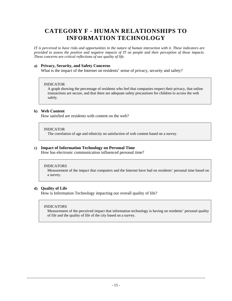# **CATEGORY F - HUMAN RELATIONSHIPS TO INFORMATION TECHNOLOGY**

*IT is perceived to have risks and opportunities in the nature of human interaction with it. These indicators are provided to assess the positive and negative impacts of IT on people and their perception of those impacts. These concerns are critical reflections of our quality of life.* 

### **a) Privacy, Security, and Safety Concerns**

What is the impact of the Internet on residents' sense of privacy, security and safety?

### INDICATOR

A graph showing the percentage of residents who feel that companies respect their privacy, that online transactions are secure, and that there are adequate safety precautions for children to access the web safely.

### **b) Web Content**

How satisfied are residents with content on the web?

#### INDICATOR

The correlation of age and ethnicity on satisfaction of web content based on a survey.

### **c) Impact of Information Technology on Personal Time**

How has electronic communication influenced personal time?

#### INDICATORS

Measurement of the impact that computers and the Internet have had on residents' personal time based on a survey.

### **d) Quality of Life**

How is Information Technology impacting our overall quality of life?

#### INDICATORS

Measurement of the perceived impact that information technology is having on residents' personal quality of life and the quality of life of the city based on a survey.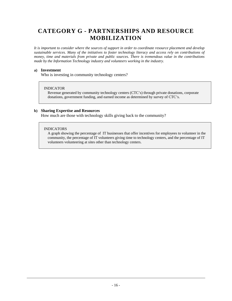# **CATEGORY G - PARTNERSHIPS AND RESOURCE MOBILIZATION**

*It is important to consider where the sources of support in order to coordinate resource placement and develop sustainable services. Many of the initiatives to foster technology literacy and access rely on contributions of money, time and materials from private and public sources. There is tremendous value in the contributions made by the Information Technology industry and volunteers working in the industry.* 

### **a) Investment**

Who is investing in community technology centers?

### INDICATOR

Revenue generated by community technology centers (CTC's) through private donations, corporate donations, government funding, and earned income as determined by survey of CTC's.

### **b) Sharing Expertise and Resources**

How much are those with technology skills giving back to the community?

### INDICATORS

A graph showing the percentage of IT businesses that offer incentives for employees to volunteer in the community, the percentage of IT volunteers giving time to technology centers, and the percentage of IT volunteers volunteering at sites other than technology centers.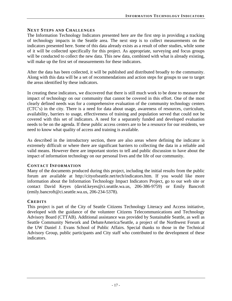### **NEXT STEPS AND CHALLENGES**

The Information Technology Indicators presented here are the first step in providing a tracking of technology impacts in the Seattle area. The next step is to collect measurements on the indicators presented here. Some of this data already exists as a result of other studies, while some of it will be collected specifically for this project. As appropriate, surveying and focus groups will be conducted to collect the new data. This new data, combined with what is already existing, will make up the first set of measurements for these indicators.

After the data has been collected, it will be published and distributed broadly to the community. Along with this data will be a set of recommendations and action steps for groups to use to target the areas identified by these indicators.

In creating these indicators, we discovered that there is still much work to be done to measure the impact of technology on our community that cannot be covered in this effort. One of the most clearly defined needs was for a comprehensive evaluation of the community technology centers (CTC's) in the city. There is a need for data about usage, awareness of resources, curriculum, availability, barriers to usage, effectiveness of training and population served that could not be covered with this set of indicators. A need for a separately funded and developed evaluation needs to be on the agenda. If these public access centers are to be a resource for our residents, we need to know what quality of access and training is available.

As described in the introductory section, there are also areas where defining the indicator is extremely difficult or where there are significant barriers to collecting the data in a reliable and valid means. However there are important stories to tell and public discussion to have about the impact of information technology on our personal lives and the life of our community.

### **CONTACT INFORMATION**

Many of the documents produced during this project, including the initial results from the public forum are available at http://cityofseattle.net/tech/indicators.htm. If you would like more information about the Information Technology Impact Indicators Project, go to our web site or contact David Keyes (david.keyes@ci.seattle.wa.us, 206-386-9759) or Emily Bancroft (emily.bancroft@ci.seattle.wa.us, 206-234-5378).

### **CREDITS**

This project is part of the City of Seattle Citizens Technology Literacy and Access initiative, developed with the guidance of the volunteer Citizens Telecommunications and Technology Advisory Board (CTTAB). Additional assistance was provided by Sustainable Seattle, as well as Seattle Community Network and DebateAmerica/Seattle, a project of the Northwest Forum at the UW Daniel J. Evans School of Public Affairs. Special thanks to those in the Technical Advisory Group, public participants and City staff who contributed to the development of these indicators.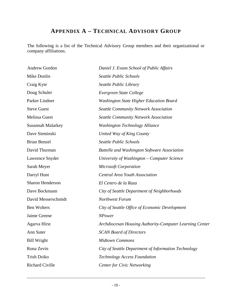# **APPENDIX A – TECHNICAL ADVISORY GROUP**

The following is a list of the Technical Advisory Group members and their organizational or company affiliations.

| Andrew Gordon            | Daniel J. Evans School of Public Affairs                |
|--------------------------|---------------------------------------------------------|
| Mike Donlin              | Seattle Public Schools                                  |
| Craig Kyte               | Seattle Public Library                                  |
| Doug Schuler             | Evergreen State College                                 |
| Parker Lindner           | <b>Washington State Higher Education Board</b>          |
| <b>Steve Guest</b>       | <b>Seattle Community Network Association</b>            |
| <b>Melissa Guest</b>     | <b>Seattle Community Network Association</b>            |
| <b>Susannah Malarkey</b> | <b>Washington Technology Alliance</b>                   |
| Dave Sieminski           | United Way of King County                               |
| <b>Brian Benzel</b>      | Seattle Public Schools                                  |
| David Thurman            | <b>Battelle and Washington Software Association</b>     |
| Lawrence Snyder          | University of Washington – Computer Science             |
| Sarah Meyer              | <b>Microsoft Corporation</b>                            |
| Darryl Hunt              | <b>Central Area Youth Association</b>                   |
| Sharon Henderson         | El Centro de la Raza                                    |
| Dave Bockmann            | City of Seattle Department of Neighborhoods             |
| David Messerschmidt      | Northwest Forum                                         |
| <b>Ben Wolters</b>       | City of Seattle Office of Economic Development          |
| Jaime Greene             | <b>NPower</b>                                           |
| Agarva Hirst             | Archdiocesan Housing Authority-Computer Learning Center |
| Ann Suter                | <b>SCAN Board of Directors</b>                          |
| <b>Bill Wright</b>       | <b>Midtown Commons</b>                                  |
| Rona Zevin               | City of Seattle Department of Information Technology    |
| <b>Trish Dziko</b>       | <b>Technology Access Foundation</b>                     |
| Richard Civille          | <b>Center for Civic Networking</b>                      |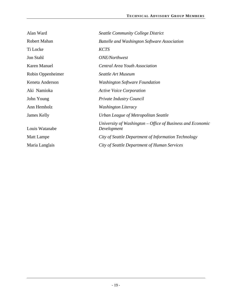| Alan Ward           | <b>Seattle Community College District</b>                                   |
|---------------------|-----------------------------------------------------------------------------|
| <b>Robert Mahan</b> | <b>Battelle and Washington Software Association</b>                         |
| Ti Locke            | <b>KCTS</b>                                                                 |
| Jon Stahl           | <b>ONE/Northwest</b>                                                        |
| Karen Manuel        | <b>Central Area Youth Association</b>                                       |
| Robin Oppenheimer   | Seattle Art Museum                                                          |
| Keneta Anderson     | <b>Washington Software Foundation</b>                                       |
| Aki Namioka         | <b>Active Voice Corporation</b>                                             |
| John Young          | Private Industry Council                                                    |
| Ann Hemholz         | <b>Washington Literacy</b>                                                  |
| James Kelly         | Urban League of Metropolitan Seattle                                        |
| Louis Watanabe      | University of Washington $-$ Office of Business and Economic<br>Development |
| Matt Lampe          | City of Seattle Department of Information Technology                        |
| Maria Langlais      | City of Seattle Department of Human Services                                |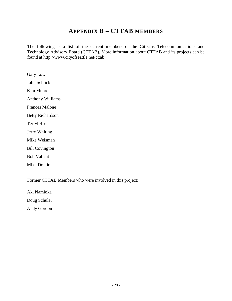# **APPENDIX B – CTTAB MEMBERS**

The following is a list of the current members of the Citizens Telecommunications and Technology Advisory Board (CTTAB). More information about CTTAB and its projects can be found at http://www.cityofseattle.net/cttab

Gary Low John Schlick Kim Munro Anthony Williams Frances Malone Betty Richardson Terryl Ross Jerry Whiting Mike Weisman Bill Covington Bob Valiant Mike Donlin

Former CTTAB Members who were involved in this project:

Aki Namioka

Doug Schuler

Andy Gordon